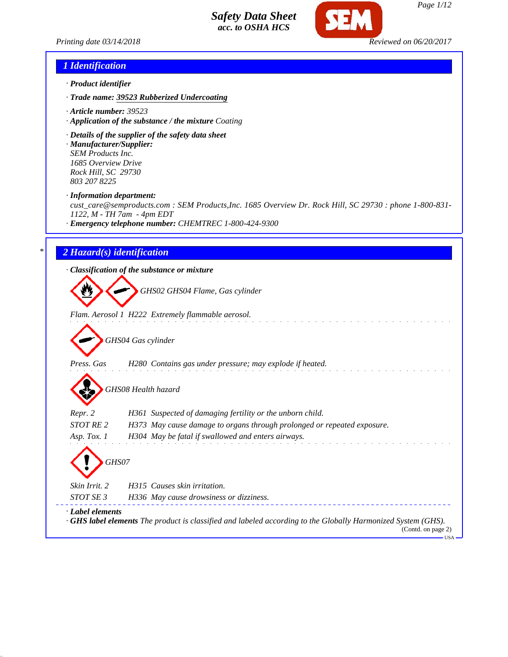

*Printing date 03/14/2018 Reviewed on 06/20/2017*

## *1 Identification*

- *· Product identifier*
- *· Trade name: 39523 Rubberized Undercoating*
- *· Article number: 39523*
- *· Application of the substance / the mixture Coating*
- *· Details of the supplier of the safety data sheet*
- *· Manufacturer/Supplier: SEM Products Inc. 1685 Overview Drive Rock Hill, SC 29730 803 207 8225*

*· Information department:*

*cust\_care@semproducts.com : SEM Products,Inc. 1685 Overview Dr. Rock Hill, SC 29730 : phone 1-800-831- 1122, M - TH 7am - 4pm EDT*

*· Emergency telephone number: CHEMTREC 1-800-424-9300*

## *\* 2 Hazard(s) identification*

*· Classification of the substance or mixture*

*GHS02 GHS04 Flame, Gas cylinder*

*Flam. Aerosol 1 H222 Extremely flammable aerosol.*

*GHS04 Gas cylinder*

*Press. Gas H280 Contains gas under pressure; may explode if heated.*

*GHS08 Health hazard*

*Repr. 2 H361 Suspected of damaging fertility or the unborn child.*

*STOT RE 2 H373 May cause damage to organs through prolonged or repeated exposure.*

*Asp. Tox. 1 H304 May be fatal if swallowed and enters airways. GHS07 Skin Irrit. 2 H315 Causes skin irritation.*

*STOT SE 3 H336 May cause drowsiness or dizziness.*

*· Label elements*

*· GHS label elements The product is classified and labeled according to the Globally Harmonized System (GHS).*

(Contd. on page 2) USA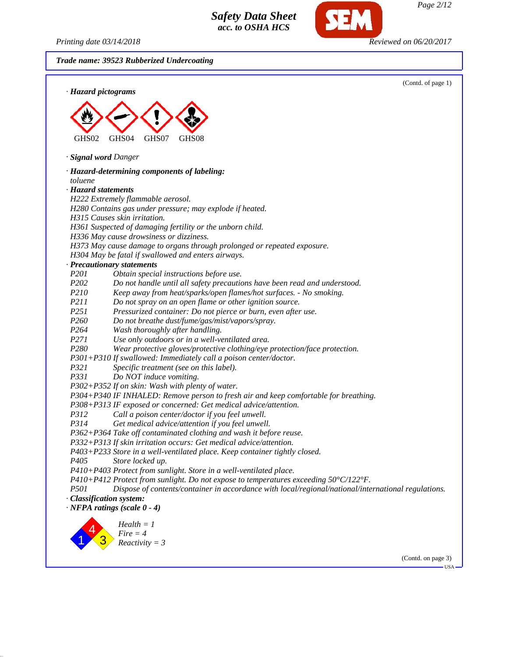*Printing date 03/14/2018 Reviewed on 06/20/2017*

*Page 2/12*

*Trade name: 39523 Rubberized Undercoating* (Contd. of page 1) *· Hazard pictograms* GHS02 GHS04 GHS07 GHS08 *· Signal word Danger · Hazard-determining components of labeling: toluene · Hazard statements H222 Extremely flammable aerosol. H280 Contains gas under pressure; may explode if heated. H315 Causes skin irritation. H361 Suspected of damaging fertility or the unborn child. H336 May cause drowsiness or dizziness. H373 May cause damage to organs through prolonged or repeated exposure. H304 May be fatal if swallowed and enters airways. · Precautionary statements P201 Obtain special instructions before use. P202 Do not handle until all safety precautions have been read and understood. P210 Keep away from heat/sparks/open flames/hot surfaces. - No smoking. P211 Do not spray on an open flame or other ignition source. P251 Pressurized container: Do not pierce or burn, even after use. P260 Do not breathe dust/fume/gas/mist/vapors/spray. P264 Wash thoroughly after handling. P271 Use only outdoors or in a well-ventilated area. P280 Wear protective gloves/protective clothing/eye protection/face protection. P301+P310 If swallowed: Immediately call a poison center/doctor. P321 Specific treatment (see on this label). P331 Do NOT induce vomiting. P302+P352 If on skin: Wash with plenty of water. P304+P340 IF INHALED: Remove person to fresh air and keep comfortable for breathing. P308+P313 IF exposed or concerned: Get medical advice/attention. P312 Call a poison center/doctor if you feel unwell. P314 Get medical advice/attention if you feel unwell. P362+P364 Take off contaminated clothing and wash it before reuse. P332+P313 If skin irritation occurs: Get medical advice/attention. P403+P233 Store in a well-ventilated place. Keep container tightly closed. P405 Store locked up. P410+P403 Protect from sunlight. Store in a well-ventilated place. P410+P412 Protect from sunlight. Do not expose to temperatures exceeding 50°C/122°F. P501 Dispose of contents/container in accordance with local/regional/national/international regulations. · Classification system: · NFPA ratings (scale 0 - 4)* 1 4 3 *Health = 1 Fire = 4 Reactivity = 3*

(Contd. on page 3)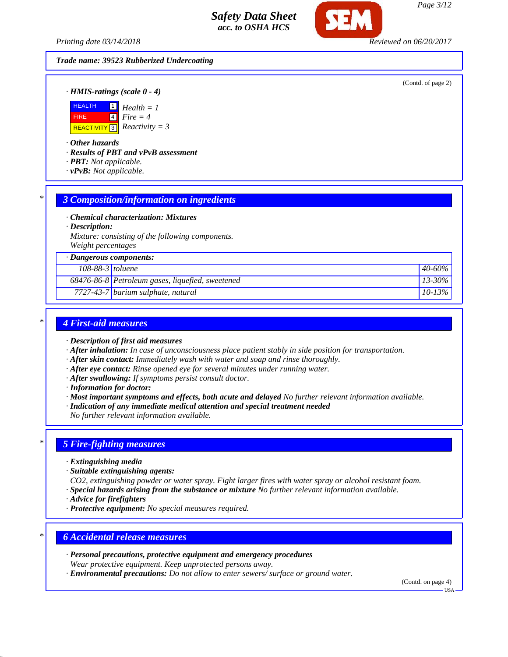*Printing date 03/14/2018 Reviewed on 06/20/2017*

#### *Trade name: 39523 Rubberized Undercoating*

(Contd. of page 2)

*· HMIS-ratings (scale 0 - 4)*



*· Other hazards*

*· Results of PBT and vPvB assessment*

- *· PBT: Not applicable.*
- *· vPvB: Not applicable.*

#### *\* 3 Composition/information on ingredients*

*· Chemical characterization: Mixtures*

*· Description:*

*Mixture: consisting of the following components. Weight percentages*

*· Dangerous components:*

#### *108-88-3 toluene 40-60%*

*68476-86-8 Petroleum gases, liquefied, sweetened 13-30%*

*7727-43-7 barium sulphate, natural 10-13%*

## *\* 4 First-aid measures*

- *· Description of first aid measures*
- *· After inhalation: In case of unconsciousness place patient stably in side position for transportation.*
- *· After skin contact: Immediately wash with water and soap and rinse thoroughly.*
- *· After eye contact: Rinse opened eye for several minutes under running water.*
- *· After swallowing: If symptoms persist consult doctor.*
- *· Information for doctor:*
- *· Most important symptoms and effects, both acute and delayed No further relevant information available.*
- *· Indication of any immediate medical attention and special treatment needed*

*No further relevant information available.*

#### *\* 5 Fire-fighting measures*

- *· Extinguishing media*
- *· Suitable extinguishing agents:*

*CO2, extinguishing powder or water spray. Fight larger fires with water spray or alcohol resistant foam. · Special hazards arising from the substance or mixture No further relevant information available.*

- *· Advice for firefighters*
- *· Protective equipment: No special measures required.*

## *\* 6 Accidental release measures*

- *· Personal precautions, protective equipment and emergency procedures Wear protective equipment. Keep unprotected persons away.*
- *· Environmental precautions: Do not allow to enter sewers/ surface or ground water.*

(Contd. on page 4)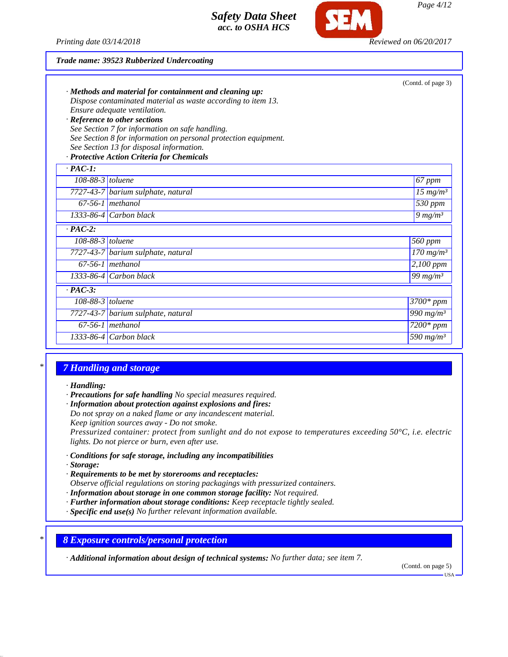

#### *Trade name: 39523 Rubberized Undercoating*

|                    | · Methods and material for containment and cleaning up:         | (Contd. of page 3)      |
|--------------------|-----------------------------------------------------------------|-------------------------|
|                    | Dispose contaminated material as waste according to item 13.    |                         |
|                    | Ensure adequate ventilation.                                    |                         |
|                    | · Reference to other sections                                   |                         |
|                    | See Section 7 for information on safe handling.                 |                         |
|                    | See Section 8 for information on personal protection equipment. |                         |
|                    | See Section 13 for disposal information.                        |                         |
|                    | · Protective Action Criteria for Chemicals                      |                         |
| $\cdot$ PAC-1:     |                                                                 |                         |
| 108-88-3 $toluene$ |                                                                 | 67 ppm                  |
|                    | 7727-43-7 barium sulphate, natural                              | 15 $mg/m^3$             |
|                    | $67-56-1$ methanol                                              | 530 ppm                 |
|                    | $1333-86-4$ Carbon black                                        | $9 \, mg/m3$            |
| $\cdot$ PAC-2:     |                                                                 |                         |
| $108-88-3$ toluene |                                                                 | 560 ppm                 |
|                    | 7727-43-7 barium sulphate, natural                              | $170$ mg/m <sup>3</sup> |
|                    | $67-56-1$ methanol                                              | 2,100 ppm               |
|                    | 1333-86-4 Carbon black                                          | 99 $mg/m^3$             |
| $\cdot$ PAC-3:     |                                                                 |                         |
| $108-88-3$ toluene |                                                                 | $3700*$ ppm             |
|                    | 7727-43-7 barium sulphate, natural                              | 990 mg/ $m^3$           |
|                    | $67-56-1$ methanol                                              | $7200*$ ppm             |
|                    | 1333-86-4 Carbon black                                          | 590 mg/m <sup>3</sup>   |
|                    |                                                                 |                         |

# *\* 7 Handling and storage*

#### *· Handling:*

- *· Precautions for safe handling No special measures required.*
- *· Information about protection against explosions and fires:*
- *Do not spray on a naked flame or any incandescent material.*
- *Keep ignition sources away Do not smoke.*

*Pressurized container: protect from sunlight and do not expose to temperatures exceeding 50°C, i.e. electric lights. Do not pierce or burn, even after use.*

- *· Conditions for safe storage, including any incompatibilities*
- *· Storage:*
- *· Requirements to be met by storerooms and receptacles:*

*Observe official regulations on storing packagings with pressurized containers.*

- *· Information about storage in one common storage facility: Not required.*
- *· Further information about storage conditions: Keep receptacle tightly sealed.*
- *· Specific end use(s) No further relevant information available.*

### *\* 8 Exposure controls/personal protection*

*· Additional information about design of technical systems: No further data; see item 7.*

(Contd. on page 5)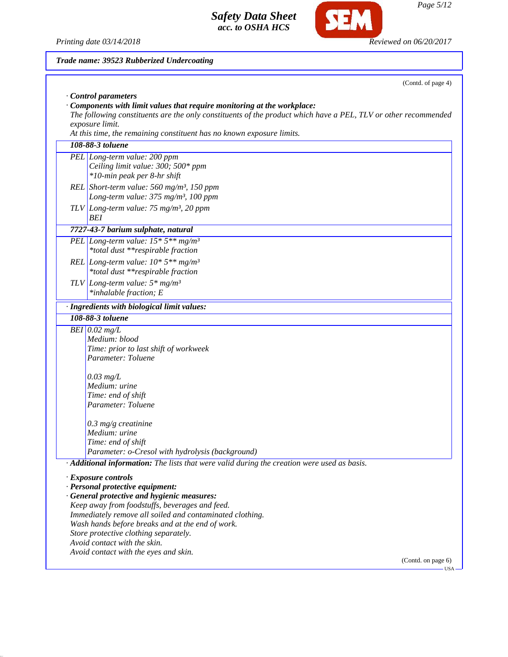

**SEM** 

*Page 5/12*

| Trade name: 39523 Rubberized Undercoating                                                                      |
|----------------------------------------------------------------------------------------------------------------|
| (Contd. of page 4)                                                                                             |
| Control parameters                                                                                             |
| Components with limit values that require monitoring at the workplace:                                         |
| The following constituents are the only constituents of the product which have a PEL, TLV or other recommended |
| exposure limit.                                                                                                |
| At this time, the remaining constituent has no known exposure limits.                                          |
| 108-88-3 toluene                                                                                               |
| PEL Long-term value: 200 ppm                                                                                   |
| Ceiling limit value: 300; 500* ppm                                                                             |
| *10-min peak per 8-hr shift                                                                                    |
| REL Short-term value: 560 mg/m <sup>3</sup> , 150 ppm                                                          |
| Long-term value: 375 mg/m <sup>3</sup> , 100 ppm                                                               |
| TLV Long-term value: $75 \text{ mg/m}^3$ , 20 ppm                                                              |
| BEI                                                                                                            |
| 7727-43-7 barium sulphate, natural                                                                             |
| PEL Long-term value: $15 * 5**mg/m^3$                                                                          |
| *total dust **respirable fraction                                                                              |
|                                                                                                                |
| REL Long-term value: $10*5**mg/m^3$                                                                            |
| *total dust **respirable fraction                                                                              |
| TLV Long-term value: $5*$ mg/m <sup>3</sup>                                                                    |
| *inhalable fraction; E                                                                                         |
| · Ingredients with biological limit values:                                                                    |
| 108-88-3 toluene                                                                                               |
| BEI $0.02$ mg/L                                                                                                |
| Medium: blood                                                                                                  |
| Time: prior to last shift of workweek                                                                          |
| Parameter: Toluene                                                                                             |
|                                                                                                                |
| $0.03$ mg/L                                                                                                    |
| Medium: urine<br>Time: end of shift                                                                            |
| Parameter: Toluene                                                                                             |
|                                                                                                                |
| $0.3$ mg/g creatinine                                                                                          |
| Medium: urine                                                                                                  |
| Time: end of shift                                                                                             |
| Parameter: o-Cresol with hydrolysis (background)                                                               |
| · Additional information: The lists that were valid during the creation were used as basis.                    |
|                                                                                                                |
| · Exposure controls                                                                                            |
| · Personal protective equipment:                                                                               |
| · General protective and hygienic measures:                                                                    |
| Keep away from foodstuffs, beverages and feed.<br>Immediately remove all soiled and contaminated clothing.     |
| Wash hands before breaks and at the end of work.                                                               |
| Store protective clothing separately.                                                                          |
| Avoid contact with the skin.                                                                                   |
| Avoid contact with the eyes and skin.                                                                          |
| (Contd. on page 6)                                                                                             |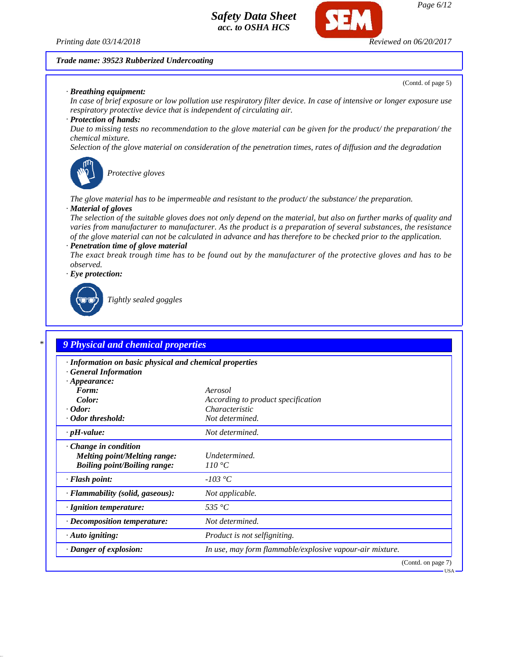

*Page 6/12*

#### *Trade name: 39523 Rubberized Undercoating*

*· Breathing equipment:*

(Contd. of page 5)

*In case of brief exposure or low pollution use respiratory filter device. In case of intensive or longer exposure use respiratory protective device that is independent of circulating air.*

#### *· Protection of hands:*

*Due to missing tests no recommendation to the glove material can be given for the product/ the preparation/ the chemical mixture.*

*Selection of the glove material on consideration of the penetration times, rates of diffusion and the degradation*



*Protective gloves*

*The glove material has to be impermeable and resistant to the product/ the substance/ the preparation.*

## *· Material of gloves*

*The selection of the suitable gloves does not only depend on the material, but also on further marks of quality and varies from manufacturer to manufacturer. As the product is a preparation of several substances, the resistance of the glove material can not be calculated in advance and has therefore to be checked prior to the application. · Penetration time of glove material*

*The exact break trough time has to be found out by the manufacturer of the protective gloves and has to be observed.*

*· Eye protection:*



*Tightly sealed goggles*

## *\* 9 Physical and chemical properties*

| · Information on basic physical and chemical properties<br><b>General Information</b>                     |                                                          |
|-----------------------------------------------------------------------------------------------------------|----------------------------------------------------------|
| $\cdot$ Appearance:                                                                                       |                                                          |
| Form:                                                                                                     | Aerosol                                                  |
| Color:                                                                                                    | According to product specification                       |
| $\cdot$ Odor:                                                                                             | Characteristic                                           |
| · Odor threshold:                                                                                         | Not determined.                                          |
| $\cdot$ pH-value:                                                                                         | Not determined.                                          |
| $\cdot$ Change in condition<br><b>Melting point/Melting range:</b><br><b>Boiling point/Boiling range:</b> | Undetermined.<br>110 °C                                  |
| · Flash point:                                                                                            | $-103\text{ °C}$                                         |
| · Flammability (solid, gaseous):                                                                          | Not applicable.                                          |
| · Ignition temperature:                                                                                   | 535 °C                                                   |
| $\cdot$ Decomposition temperature:                                                                        | Not determined.                                          |
| $\cdot$ Auto igniting:                                                                                    | Product is not selfigniting.                             |
| · Danger of explosion:                                                                                    | In use, may form flammable/explosive vapour-air mixture. |
|                                                                                                           | (Contd. on page 7)                                       |
|                                                                                                           | – USA –                                                  |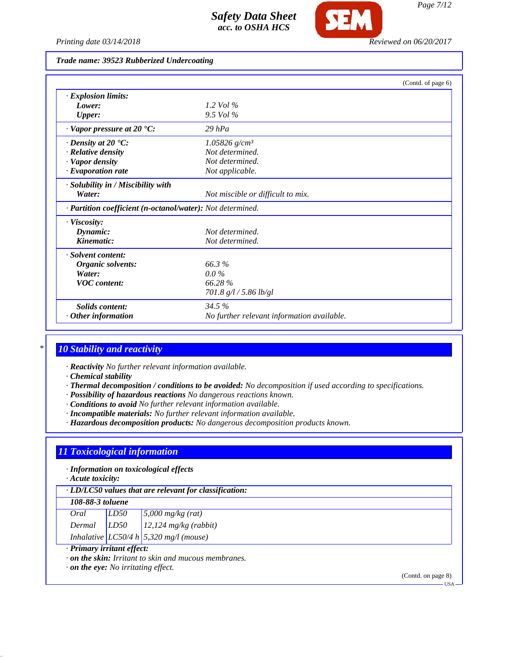

*Printing date 03/14/2018 Reviewed on 06/20/2017*

### *Trade name: 39523 Rubberized Undercoating*

|                                                            |                                            | (Contd. of page 6) |
|------------------------------------------------------------|--------------------------------------------|--------------------|
| · Explosion limits:                                        |                                            |                    |
| Lower:                                                     | 1.2 Vol $\%$                               |                    |
| <b>Upper:</b>                                              | $9.5$ Vol %                                |                    |
| $\cdot$ Vapor pressure at 20 $\cdot$ C:                    | $29$ hPa                                   |                    |
| $\cdot$ Density at 20 $\textdegree$ C:                     | $1.05826$ g/cm <sup>3</sup>                |                    |
| · Relative density                                         | Not determined.                            |                    |
| · Vapor density                                            | Not determined.                            |                    |
| · Evaporation rate                                         | Not applicable.                            |                    |
| · Solubility in / Miscibility with                         |                                            |                    |
| Water:                                                     | Not miscible or difficult to mix.          |                    |
| · Partition coefficient (n-octanol/water): Not determined. |                                            |                    |
| · Viscosity:                                               |                                            |                    |
| Dynamic:                                                   | Not determined.                            |                    |
| Kinematic:                                                 | Not determined.                            |                    |
| · Solvent content:                                         |                                            |                    |
| Organic solvents:                                          | 66.3%                                      |                    |
| Water:                                                     | $0.0\%$                                    |                    |
| <b>VOC</b> content:                                        | 66.28%                                     |                    |
|                                                            | 701.8 $g/l / 5.86$ lb/gl                   |                    |
| <b>Solids content:</b>                                     | 34.5%                                      |                    |
| Other information                                          | No further relevant information available. |                    |

### *\* 10 Stability and reactivity*

- *· Reactivity No further relevant information available.*
- *· Chemical stability*
- *· Thermal decomposition / conditions to be avoided: No decomposition if used according to specifications.*
- *· Possibility of hazardous reactions No dangerous reactions known.*
- *· Conditions to avoid No further relevant information available.*
- *· Incompatible materials: No further relevant information available.*
- *· Hazardous decomposition products: No dangerous decomposition products known.*

# *11 Toxicological information*

*· Information on toxicological effects*

*· Acute toxicity:*

| $\cdot$ LD/LC50 values that are relevant for classification: |  |  |
|--------------------------------------------------------------|--|--|
|--------------------------------------------------------------|--|--|

#### *108-88-3 toluene*

| Oral   | LD50 |                                                                          |
|--------|------|--------------------------------------------------------------------------|
| Dermal | LD50 | $\sqrt{\frac{5,000 \text{ mg/kg (rat)}}{12,124 \text{ mg/kg} (rabbit)}}$ |
|        |      | Inhalative $LC50/4 h \cdot 5,320$ mg/l (mouse)                           |

#### *· Primary irritant effect:*

*· on the skin: Irritant to skin and mucous membranes.*

*· on the eye: No irritating effect.*

(Contd. on page 8) USA

*Page 7/12*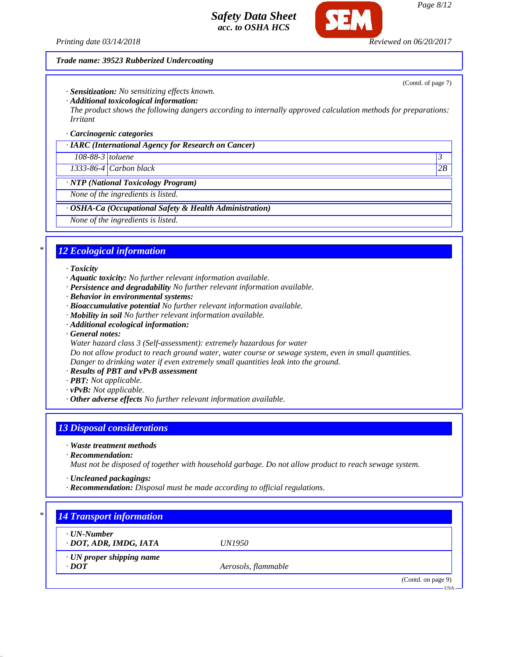

*Page 8/12*

(Contd. of page 7)

#### *Trade name: 39523 Rubberized Undercoating*

*· Sensitization: No sensitizing effects known.*

*· Additional toxicological information:*

*The product shows the following dangers according to internally approved calculation methods for preparations: Irritant*

*· Carcinogenic categories*

*· IARC (International Agency for Research on Cancer)*

*108-88-3 toluene 3* 

*1333-86-4 Carbon black 2B*

*· NTP (National Toxicology Program)*

*None of the ingredients is listed.*

*· OSHA-Ca (Occupational Safety & Health Administration)*

*None of the ingredients is listed.*

## *\* 12 Ecological information*

#### *· Toxicity*

- *· Aquatic toxicity: No further relevant information available.*
- *· Persistence and degradability No further relevant information available.*
- *· Behavior in environmental systems:*
- *· Bioaccumulative potential No further relevant information available.*
- *· Mobility in soil No further relevant information available.*
- *· Additional ecological information:*

*· General notes:*

- *Water hazard class 3 (Self-assessment): extremely hazardous for water*
- *Do not allow product to reach ground water, water course or sewage system, even in small quantities. Danger to drinking water if even extremely small quantities leak into the ground.*
- *· Results of PBT and vPvB assessment*
- *· PBT: Not applicable.*
- *· vPvB: Not applicable.*
- *· Other adverse effects No further relevant information available.*

## *13 Disposal considerations*

- *· Waste treatment methods*
- *· Recommendation:*

*Must not be disposed of together with household garbage. Do not allow product to reach sewage system.*

- *· Uncleaned packagings:*
- *· Recommendation: Disposal must be made according to official regulations.*

# *\* 14 Transport information*

*· UN-Number*

*· DOT, ADR, IMDG, IATA UN1950*

*· UN proper shipping name*

*· DOT Aerosols, flammable*

(Contd. on page 9)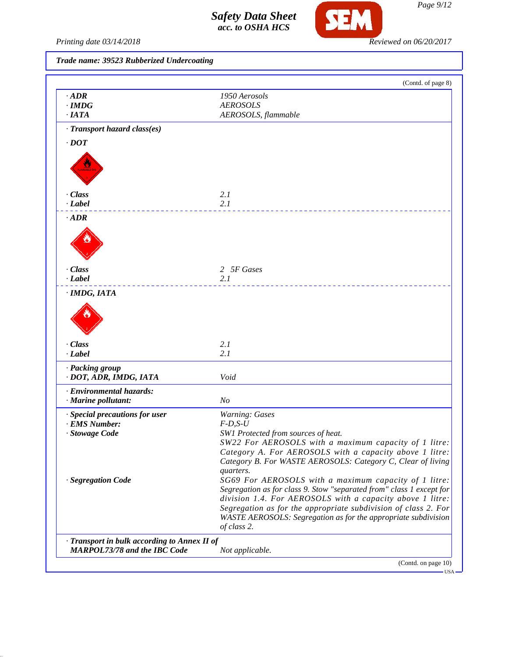

Printing date 03/14/2018 **Reviewed on 06/20/2017** 

*Trade name: 39523 Rubberized Undercoating*

| $\cdot$ ADR                                  | 1950 Aerosols                                                                                                                 |
|----------------------------------------------|-------------------------------------------------------------------------------------------------------------------------------|
| $\cdot$ IMDG                                 | <b>AEROSOLS</b>                                                                                                               |
| ·IATA                                        |                                                                                                                               |
|                                              | AEROSOLS, flammable                                                                                                           |
| · Transport hazard class(es)                 |                                                                                                                               |
| $\cdot$ DOT                                  |                                                                                                                               |
|                                              |                                                                                                                               |
|                                              |                                                                                                                               |
| · Class                                      | 2.1                                                                                                                           |
| $-Label$                                     | 2.1                                                                                                                           |
| $\cdot$ ADR                                  |                                                                                                                               |
|                                              |                                                                                                                               |
|                                              |                                                                                                                               |
|                                              |                                                                                                                               |
| · Class                                      | 2 5F Gases                                                                                                                    |
| $\cdot$ <i>Label</i>                         | 2.1                                                                                                                           |
| · IMDG, IATA                                 |                                                                                                                               |
|                                              |                                                                                                                               |
|                                              |                                                                                                                               |
| · Class                                      | 2.1                                                                                                                           |
| $\cdot$ <i>Label</i>                         | 2.1                                                                                                                           |
| · Packing group                              |                                                                                                                               |
| · DOT, ADR, IMDG, IATA                       | Void                                                                                                                          |
| · Environmental hazards:                     |                                                                                                                               |
| · Marine pollutant:                          | N <sub>O</sub>                                                                                                                |
| · Special precautions for user               | Warning: Gases                                                                                                                |
| · EMS Number:                                | $F-D, S-U$                                                                                                                    |
| · Stowage Code                               | SW1 Protected from sources of heat.                                                                                           |
|                                              | SW22 For AEROSOLS with a maximum capacity of 1 litre:                                                                         |
|                                              | Category A. For AEROSOLS with a capacity above 1 litre:                                                                       |
|                                              | Category B. For WASTE AEROSOLS: Category C, Clear of living                                                                   |
|                                              | quarters.                                                                                                                     |
| · Segregation Code                           | SG69 For AEROSOLS with a maximum capacity of 1 litre:<br>Segregation as for class 9. Stow "separated from" class 1 except for |
|                                              | division 1.4. For AEROSOLS with a capacity above 1 litre:                                                                     |
|                                              | Segregation as for the appropriate subdivision of class 2. For                                                                |
|                                              | WASTE AEROSOLS: Segregation as for the appropriate subdivision                                                                |
|                                              | of class 2.                                                                                                                   |
| · Transport in bulk according to Annex II of |                                                                                                                               |
| <b>MARPOL73/78 and the IBC Code</b>          | Not applicable.                                                                                                               |
|                                              |                                                                                                                               |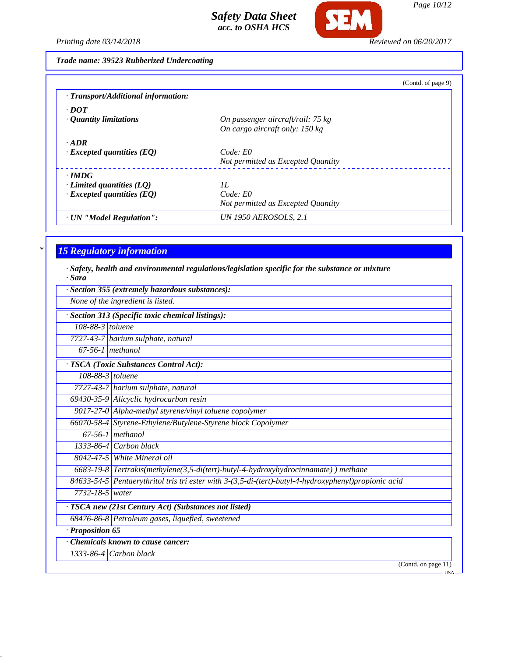

*Page 10/12*

*Printing date 03/14/2018 Reviewed on 06/20/2017*

*Trade name: 39523 Rubberized Undercoating*

|                                     | (Contd. of page 9)                 |  |
|-------------------------------------|------------------------------------|--|
| · Transport/Additional information: |                                    |  |
| $\cdot$ DOT                         |                                    |  |
| $\cdot$ Quantity limitations        | On passenger aircraft/rail: 75 kg  |  |
|                                     | On cargo aircraft only: 150 kg     |  |
| $\cdot$ ADR                         |                                    |  |
| $\cdot$ Excepted quantities (EQ)    | Code: E0                           |  |
|                                     | Not permitted as Excepted Quantity |  |
| $\cdot$ IMDG                        |                                    |  |
| $\cdot$ Limited quantities (LQ)     | II.                                |  |
| $\cdot$ Excepted quantities (EQ)    | Code: E0                           |  |
|                                     | Not permitted as Excepted Quantity |  |
| · UN "Model Regulation":            | <b>UN 1950 AEROSOLS, 2.1</b>       |  |

# *\* 15 Regulatory information*

*· Safety, health and environmental regulations/legislation specific for the substance or mixture · Sara*

|                    | · Section 355 (extremely hazardous substances):                                                      |
|--------------------|------------------------------------------------------------------------------------------------------|
|                    | None of the ingredient is listed.                                                                    |
|                    | · Section 313 (Specific toxic chemical listings):                                                    |
| 108-88-3 toluene   |                                                                                                      |
|                    | 7727-43-7 barium sulphate, natural                                                                   |
| $67-56-1$ methanol |                                                                                                      |
|                    | · TSCA (Toxic Substances Control Act):                                                               |
| 108-88-3 toluene   |                                                                                                      |
|                    | 7727-43-7 barium sulphate, natural                                                                   |
|                    | 69430-35-9 Alicyclic hydrocarbon resin                                                               |
|                    | 9017-27-0 Alpha-methyl styrene/vinyl toluene copolymer                                               |
|                    | 66070-58-4 Styrene-Ethylene/Butylene-Styrene block Copolymer                                         |
|                    | $67-56-1$ methanol                                                                                   |
|                    | $1333-86-4$ Carbon black                                                                             |
|                    | 8042-47-5 White Mineral oil                                                                          |
|                    | 6683-19-8 Tertrakis(methylene(3,5-di(tert)-butyl-4-hydroxyhydrocinnamate)) methane                   |
|                    | 84633-54-5 Pentaerythritol tris tri ester with 3-(3,5-di-(tert)-butyl-4-hydroxyphenyl)propionic acid |
| 7732-18-5 water    |                                                                                                      |
|                    | · TSCA new (21st Century Act) (Substances not listed)                                                |
|                    | 68476-86-8 Petroleum gases, liquefied, sweetened                                                     |
| · Proposition 65   |                                                                                                      |
|                    | Chemicals known to cause cancer:                                                                     |
|                    | 1333-86-4 Carbon black                                                                               |
|                    | (Contd. on page 11)<br>$-USA$                                                                        |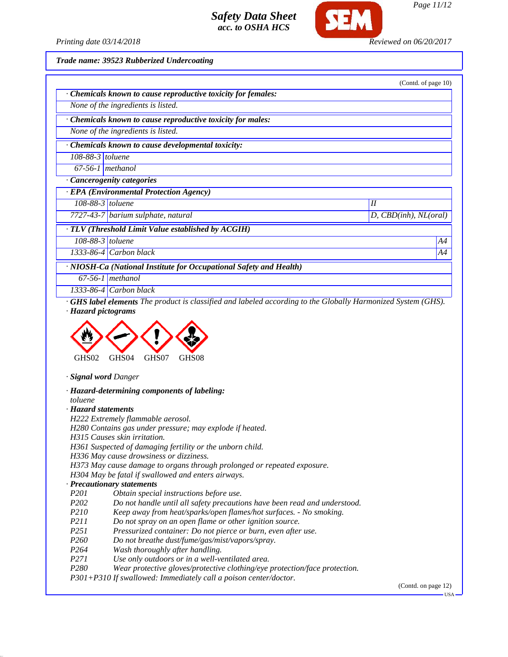

*Printing date 03/14/2018 Reviewed on 06/20/2017*

*Trade name: 39523 Rubberized Undercoating*

|                                | Chemicals known to cause reproductive toxicity for females:                                                        |                       |
|--------------------------------|--------------------------------------------------------------------------------------------------------------------|-----------------------|
|                                | None of the ingredients is listed.                                                                                 |                       |
|                                | Chemicals known to cause reproductive toxicity for males:                                                          |                       |
|                                | None of the ingredients is listed.                                                                                 |                       |
|                                | · Chemicals known to cause developmental toxicity:                                                                 |                       |
| $108-88-3$ toluene             |                                                                                                                    |                       |
| $67-56-1$ methanol             |                                                                                                                    |                       |
|                                | Cancerogenity categories                                                                                           |                       |
|                                | · EPA (Environmental Protection Agency)                                                                            |                       |
| $\overline{108}$ -88-3 toluene |                                                                                                                    | II                    |
|                                | 7727-43-7 barium sulphate, natural                                                                                 | D, CBD(inh), NL(oral) |
|                                | · TLV (Threshold Limit Value established by ACGIH)                                                                 |                       |
| $108-88-3$ toluene             |                                                                                                                    | A4                    |
|                                | 1333-86-4 Carbon black                                                                                             | A4                    |
|                                | · NIOSH-Ca (National Institute for Occupational Safety and Health)                                                 |                       |
|                                | $67-56-1$ methanol                                                                                                 |                       |
|                                | 1333-86-4 $Carbon black$                                                                                           |                       |
|                                | <b>GHS label elements</b> The product is classified and labeled according to the Globally Harmonized System (GHS). |                       |
| · Hazard pictograms            |                                                                                                                    |                       |



*· Signal word Danger*

*· Hazard-determining components of labeling: toluene*

*· Hazard statements*

*H222 Extremely flammable aerosol.*

*H280 Contains gas under pressure; may explode if heated.*

*H315 Causes skin irritation.*

*H361 Suspected of damaging fertility or the unborn child.*

*H336 May cause drowsiness or dizziness.*

*H373 May cause damage to organs through prolonged or repeated exposure.*

*H304 May be fatal if swallowed and enters airways.*

#### *· Precautionary statements*

- *P201 Obtain special instructions before use.*
- *P202 Do not handle until all safety precautions have been read and understood.*
- *P210 Keep away from heat/sparks/open flames/hot surfaces. No smoking.*
- *P211 Do not spray on an open flame or other ignition source.*
- *P251 Pressurized container: Do not pierce or burn, even after use.*
- *P260 Do not breathe dust/fume/gas/mist/vapors/spray.*
- *P264 Wash thoroughly after handling.*
- *P271 Use only outdoors or in a well-ventilated area.*
- *P280 Wear protective gloves/protective clothing/eye protection/face protection.*
- *P301+P310 If swallowed: Immediately call a poison center/doctor.*

(Contd. on page 12)